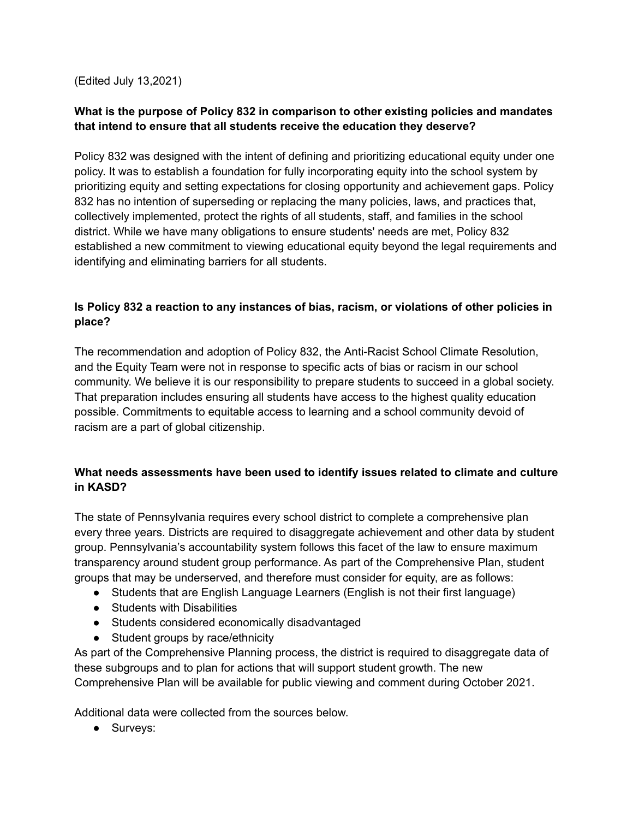(Edited July 13,2021)

## **What is the purpose of Policy 832 in comparison to other existing policies and mandates that intend to ensure that all students receive the education they deserve?**

Policy 832 was designed with the intent of defining and prioritizing educational equity under one policy. It was to establish a foundation for fully incorporating equity into the school system by prioritizing equity and setting expectations for closing opportunity and achievement gaps. Policy 832 has no intention of superseding or replacing the many policies, laws, and practices that, collectively implemented, protect the rights of all students, staff, and families in the school district. While we have many obligations to ensure students' needs are met, Policy 832 established a new commitment to viewing educational equity beyond the legal requirements and identifying and eliminating barriers for all students.

# **Is Policy 832 a reaction to any instances of bias, racism, or violations of other policies in place?**

The recommendation and adoption of Policy 832, the Anti-Racist School Climate Resolution, and the Equity Team were not in response to specific acts of bias or racism in our school community. We believe it is our responsibility to prepare students to succeed in a global society. That preparation includes ensuring all students have access to the highest quality education possible. Commitments to equitable access to learning and a school community devoid of racism are a part of global citizenship.

# **What needs assessments have been used to identify issues related to climate and culture in KASD?**

The state of Pennsylvania requires every school district to complete a comprehensive plan every three years. Districts are required to disaggregate achievement and other data by student group. Pennsylvania's accountability system follows this facet of the law to ensure maximum transparency around student group performance. As part of the Comprehensive Plan, student groups that may be underserved, and therefore must consider for equity, are as follows:

- Students that are English Language Learners (English is not their first language)
- Students with Disabilities
- Students considered economically disadvantaged
- Student groups by race/ethnicity

As part of the Comprehensive Planning process, the district is required to disaggregate data of these subgroups and to plan for actions that will support student growth. The new Comprehensive Plan will be available for public viewing and comment during October 2021.

Additional data were collected from the sources below.

● Surveys: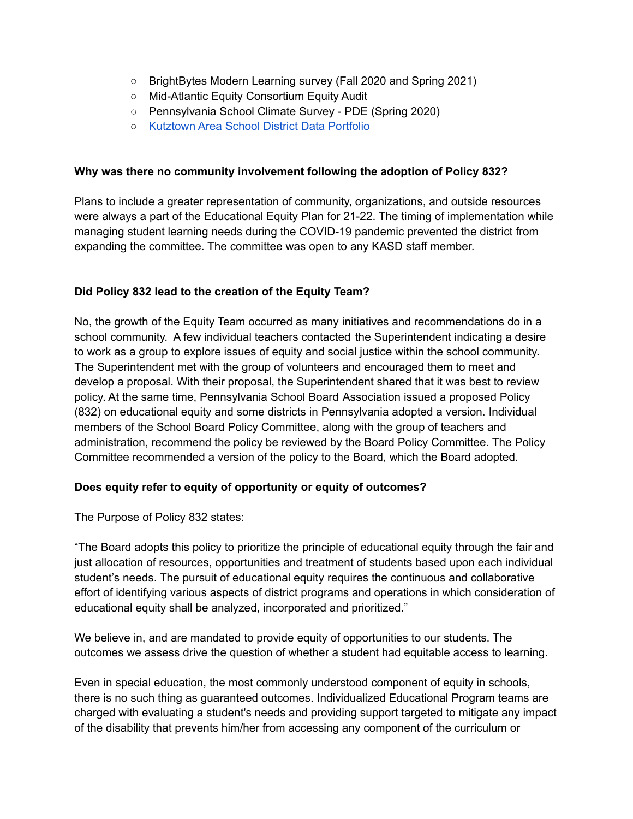- BrightBytes Modern Learning survey (Fall 2020 and Spring 2021)
- Mid-Atlantic Equity Consortium Equity Audit
- Pennsylvania School Climate Survey PDE (Spring 2020)
- [Kutztown](https://www.kasd.org/cms/lib/PA01816515/Centricity/Domain/427/2019-20%20KASD%20Data%20Portfolio%20Final.pdf) Area School District Data Portfolio

### **Why was there no community involvement following the adoption of Policy 832?**

Plans to include a greater representation of community, organizations, and outside resources were always a part of the Educational Equity Plan for 21-22. The timing of implementation while managing student learning needs during the COVID-19 pandemic prevented the district from expanding the committee. The committee was open to any KASD staff member.

### **Did Policy 832 lead to the creation of the Equity Team?**

No, the growth of the Equity Team occurred as many initiatives and recommendations do in a school community. A few individual teachers contacted the Superintendent indicating a desire to work as a group to explore issues of equity and social justice within the school community. The Superintendent met with the group of volunteers and encouraged them to meet and develop a proposal. With their proposal, the Superintendent shared that it was best to review policy. At the same time, Pennsylvania School Board Association issued a proposed Policy (832) on educational equity and some districts in Pennsylvania adopted a version. Individual members of the School Board Policy Committee, along with the group of teachers and administration, recommend the policy be reviewed by the Board Policy Committee. The Policy Committee recommended a version of the policy to the Board, which the Board adopted.

#### **Does equity refer to equity of opportunity or equity of outcomes?**

The Purpose of Policy 832 states:

"The Board adopts this policy to prioritize the principle of educational equity through the fair and just allocation of resources, opportunities and treatment of students based upon each individual student's needs. The pursuit of educational equity requires the continuous and collaborative effort of identifying various aspects of district programs and operations in which consideration of educational equity shall be analyzed, incorporated and prioritized."

We believe in, and are mandated to provide equity of opportunities to our students. The outcomes we assess drive the question of whether a student had equitable access to learning.

Even in special education, the most commonly understood component of equity in schools, there is no such thing as guaranteed outcomes. Individualized Educational Program teams are charged with evaluating a student's needs and providing support targeted to mitigate any impact of the disability that prevents him/her from accessing any component of the curriculum or